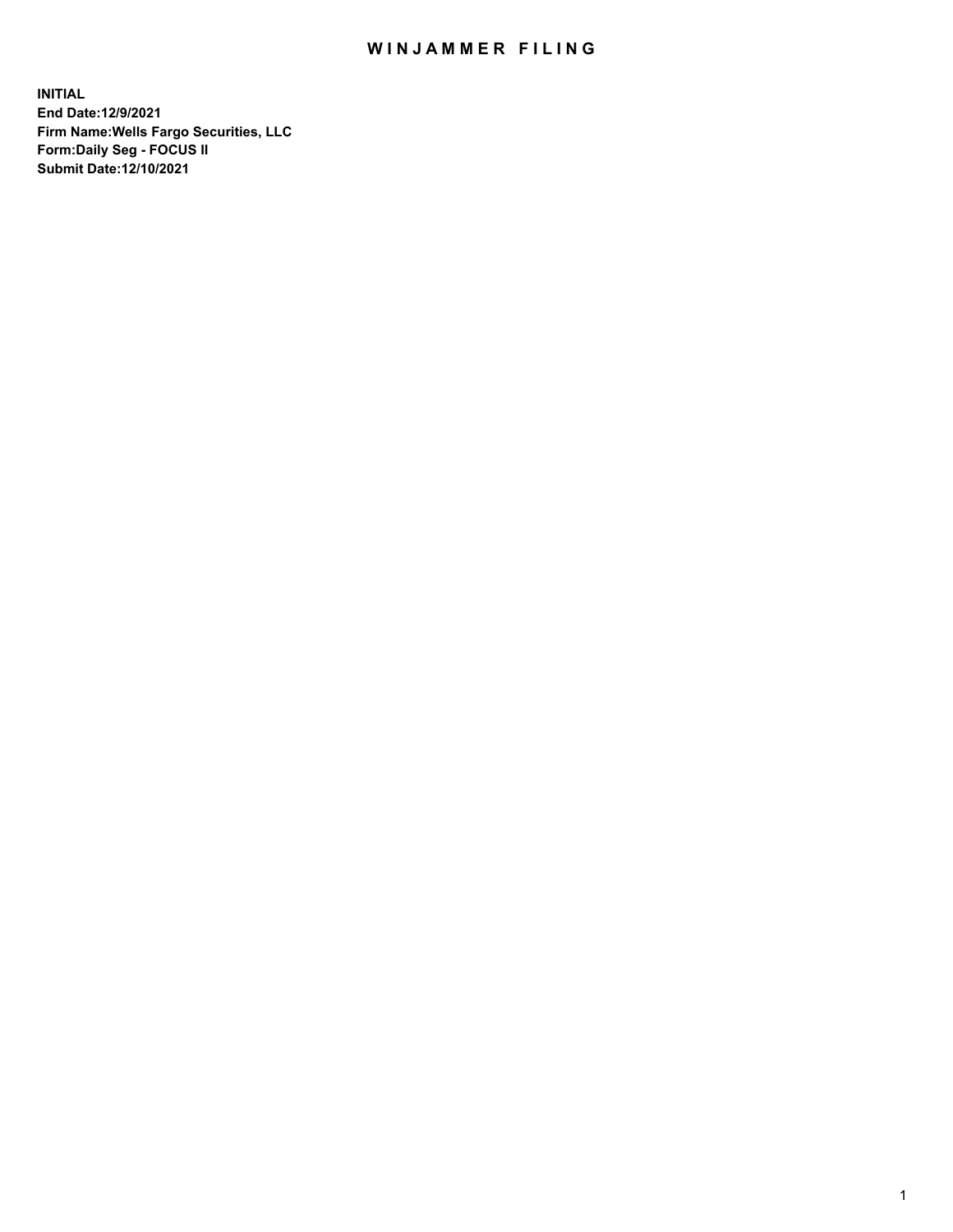## WIN JAMMER FILING

**INITIAL End Date:12/9/2021 Firm Name:Wells Fargo Securities, LLC Form:Daily Seg - FOCUS II Submit Date:12/10/2021**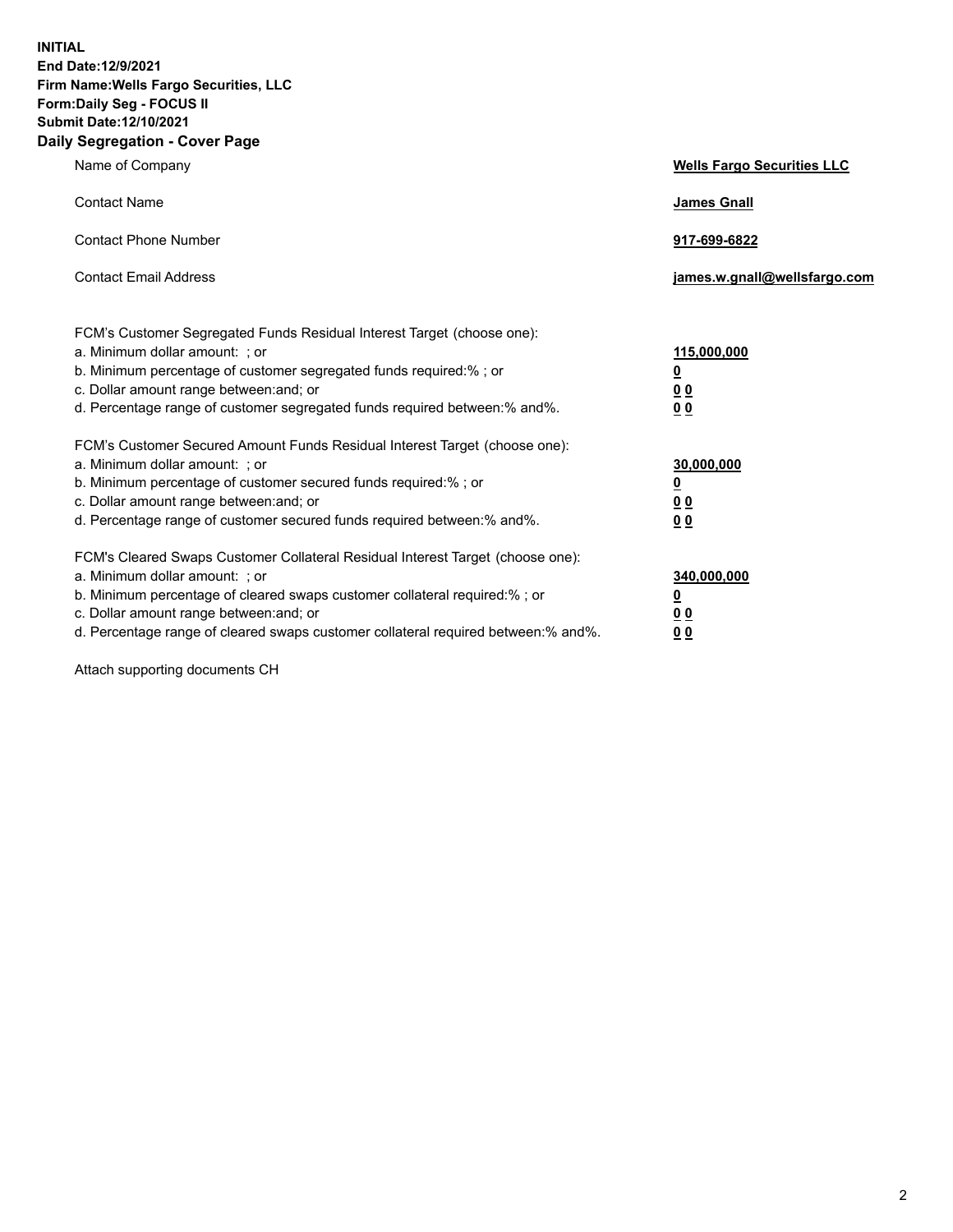**INITIAL End Date:12/9/2021 Firm Name:Wells Fargo Securities, LLC Form:Daily Seg - FOCUS II Submit Date:12/10/2021 Daily Segregation - Cover Page**

| Name of Company                                                                                                                                                                                                                                                                                                                | <b>Wells Fargo Securities LLC</b>                          |
|--------------------------------------------------------------------------------------------------------------------------------------------------------------------------------------------------------------------------------------------------------------------------------------------------------------------------------|------------------------------------------------------------|
| <b>Contact Name</b>                                                                                                                                                                                                                                                                                                            | <b>James Gnall</b>                                         |
| <b>Contact Phone Number</b>                                                                                                                                                                                                                                                                                                    | 917-699-6822                                               |
| <b>Contact Email Address</b>                                                                                                                                                                                                                                                                                                   | james.w.gnall@wellsfargo.com                               |
| FCM's Customer Segregated Funds Residual Interest Target (choose one):<br>a. Minimum dollar amount: ; or<br>b. Minimum percentage of customer segregated funds required:% ; or<br>c. Dollar amount range between: and; or<br>d. Percentage range of customer segregated funds required between:% and%.                         | 115,000,000<br>$\underline{\mathbf{0}}$<br>00<br>00        |
| FCM's Customer Secured Amount Funds Residual Interest Target (choose one):<br>a. Minimum dollar amount: ; or<br>b. Minimum percentage of customer secured funds required:%; or<br>c. Dollar amount range between: and; or<br>d. Percentage range of customer secured funds required between: % and %.                          | 30,000,000<br><u>0</u><br>0 <sub>0</sub><br>0 <sub>0</sub> |
| FCM's Cleared Swaps Customer Collateral Residual Interest Target (choose one):<br>a. Minimum dollar amount: ; or<br>b. Minimum percentage of cleared swaps customer collateral required:% ; or<br>c. Dollar amount range between: and; or<br>d. Percentage range of cleared swaps customer collateral required between:% and%. | 340,000,000<br>$\underline{\mathbf{0}}$<br>00<br><u>00</u> |

Attach supporting documents CH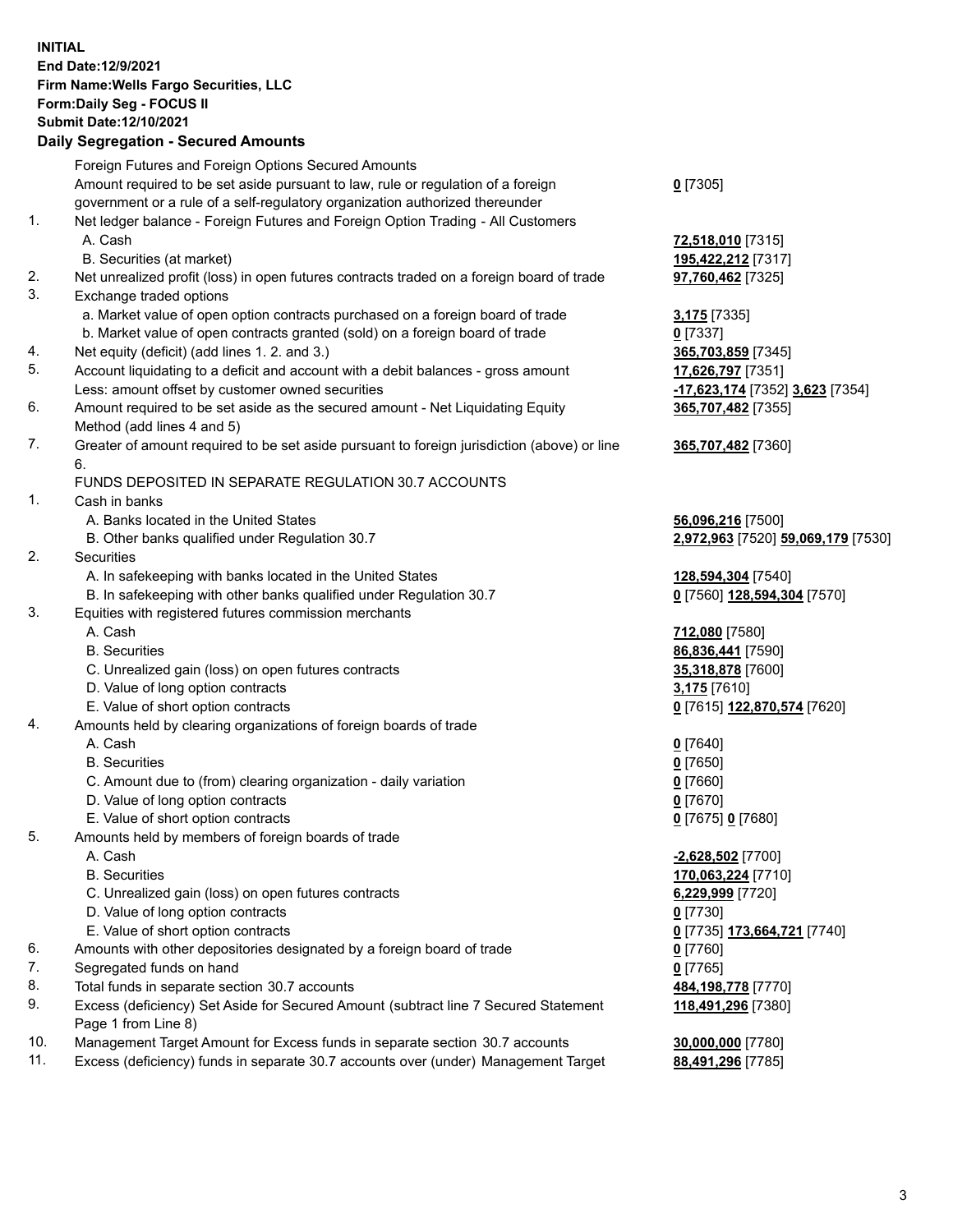**INITIAL End Date:12/9/2021 Firm Name:Wells Fargo Securities, LLC Form:Daily Seg - FOCUS II Submit Date:12/10/2021**

## **Daily Segregation - Secured Amounts**

|     | Foreign Futures and Foreign Options Secured Amounts                                         |                                                   |
|-----|---------------------------------------------------------------------------------------------|---------------------------------------------------|
|     | Amount required to be set aside pursuant to law, rule or regulation of a foreign            | $0$ [7305]                                        |
|     | government or a rule of a self-regulatory organization authorized thereunder                |                                                   |
| 1.  | Net ledger balance - Foreign Futures and Foreign Option Trading - All Customers             |                                                   |
|     | A. Cash                                                                                     | 72,518,010 [7315]                                 |
|     | B. Securities (at market)                                                                   | 195,422,212 [7317]                                |
| 2.  | Net unrealized profit (loss) in open futures contracts traded on a foreign board of trade   | 97,760,462 [7325]                                 |
| 3.  | Exchange traded options                                                                     |                                                   |
|     | a. Market value of open option contracts purchased on a foreign board of trade              | 3,175 [7335]                                      |
|     | b. Market value of open contracts granted (sold) on a foreign board of trade                | $0$ [7337]                                        |
| 4.  | Net equity (deficit) (add lines 1.2. and 3.)                                                | 365,703,859 [7345]                                |
| 5.  | Account liquidating to a deficit and account with a debit balances - gross amount           | 17,626,797 [7351]                                 |
|     | Less: amount offset by customer owned securities                                            | -17,623,174 [7352] 3,623 [7354]                   |
| 6.  | Amount required to be set aside as the secured amount - Net Liquidating Equity              | 365,707,482 [7355]                                |
|     | Method (add lines 4 and 5)                                                                  |                                                   |
| 7.  | Greater of amount required to be set aside pursuant to foreign jurisdiction (above) or line | 365,707,482 [7360]                                |
|     | 6.                                                                                          |                                                   |
|     | FUNDS DEPOSITED IN SEPARATE REGULATION 30.7 ACCOUNTS                                        |                                                   |
| 1.  | Cash in banks                                                                               |                                                   |
|     | A. Banks located in the United States                                                       | 56,096,216 [7500]                                 |
|     | B. Other banks qualified under Regulation 30.7                                              | 2,972,963 [7520] 59,069,179 [7530]                |
| 2.  | Securities                                                                                  |                                                   |
|     | A. In safekeeping with banks located in the United States                                   | 128,594,304 [7540]                                |
|     | B. In safekeeping with other banks qualified under Regulation 30.7                          | 0 [7560] 128,594,304 [7570]                       |
| 3.  | Equities with registered futures commission merchants                                       |                                                   |
|     | A. Cash                                                                                     | 712,080 [7580]                                    |
|     | <b>B.</b> Securities                                                                        | 86,836,441 [7590]                                 |
|     | C. Unrealized gain (loss) on open futures contracts                                         | 35,318,878 [7600]                                 |
|     | D. Value of long option contracts                                                           | 3,175 [7610]                                      |
|     | E. Value of short option contracts                                                          | 0 [7615] 122,870,574 [7620]                       |
| 4.  | Amounts held by clearing organizations of foreign boards of trade                           |                                                   |
|     | A. Cash                                                                                     | $0$ [7640]                                        |
|     | <b>B.</b> Securities                                                                        | $0$ [7650]                                        |
|     | C. Amount due to (from) clearing organization - daily variation                             | $0$ [7660]                                        |
|     | D. Value of long option contracts                                                           | $0$ [7670]                                        |
|     | E. Value of short option contracts                                                          | 0 [7675] 0 [7680]                                 |
| 5.  | Amounts held by members of foreign boards of trade                                          |                                                   |
|     | A. Cash                                                                                     | $-2,628,502$ [7700]                               |
|     | <b>B.</b> Securities                                                                        | 170,063,224 [7710]                                |
|     | C. Unrealized gain (loss) on open futures contracts                                         | 6,229,999 [7720]                                  |
|     | D. Value of long option contracts                                                           | $0$ [7730]                                        |
|     | E. Value of short option contracts                                                          | 0 <sup>[7735]</sup> 173,664,721 <sup>[7740]</sup> |
| 6.  | Amounts with other depositories designated by a foreign board of trade                      | $0$ [7760]                                        |
| 7.  | Segregated funds on hand                                                                    | $0$ [7765]                                        |
| 8.  | Total funds in separate section 30.7 accounts                                               | 484,198,778 [7770]                                |
| 9.  | Excess (deficiency) Set Aside for Secured Amount (subtract line 7 Secured Statement         | 118,491,296 [7380]                                |
|     | Page 1 from Line 8)                                                                         |                                                   |
| 10. | Management Target Amount for Excess funds in separate section 30.7 accounts                 | 30,000,000 [7780]                                 |
| 11. | Excess (deficiency) funds in separate 30.7 accounts over (under) Management Target          | 88,491,296 [7785]                                 |
|     |                                                                                             |                                                   |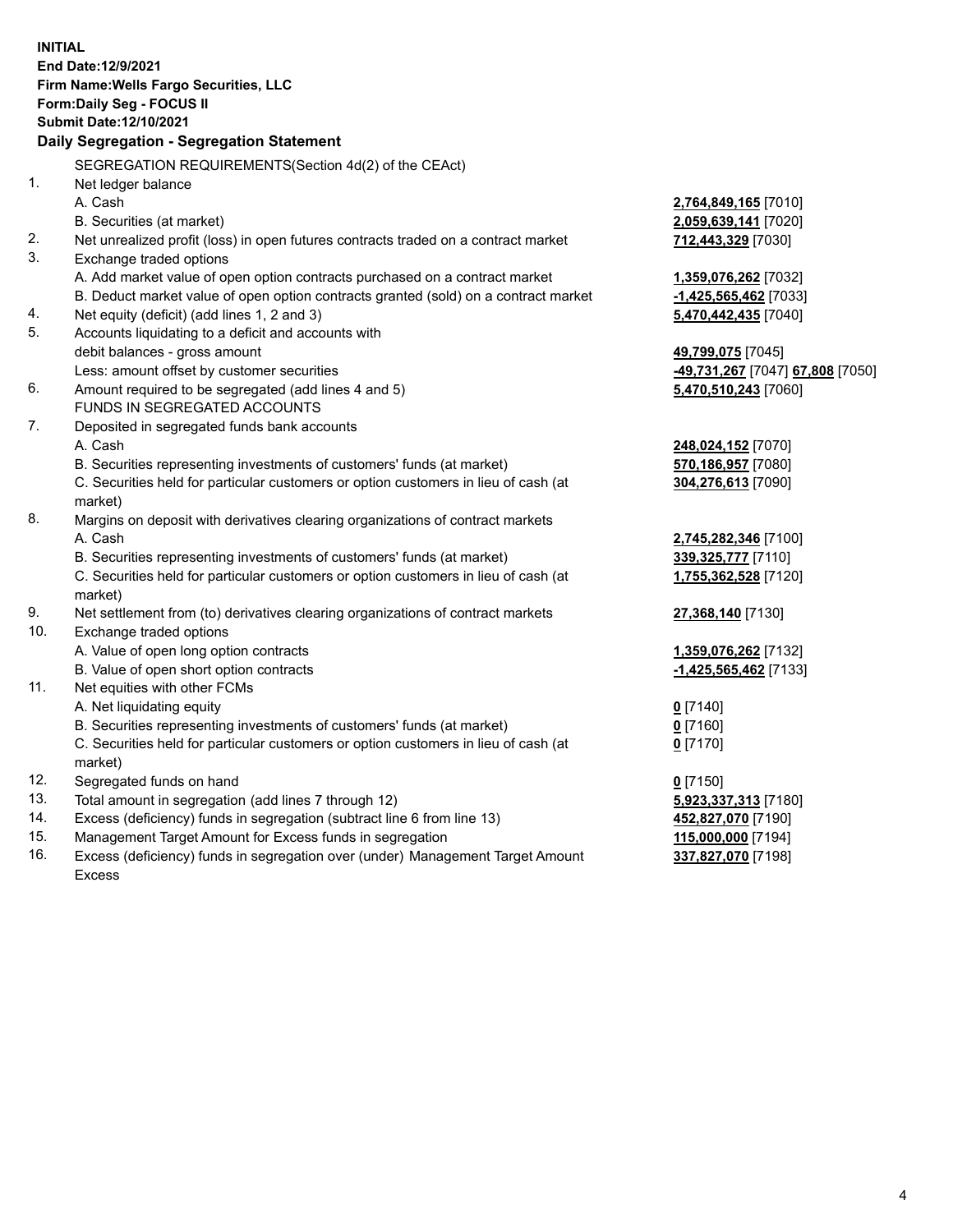**INITIAL End Date:12/9/2021 Firm Name:Wells Fargo Securities, LLC Form:Daily Seg - FOCUS II Submit Date:12/10/2021 Daily Segregation - Segregation Statement** SEGREGATION REQUIREMENTS(Section 4d(2) of the CEAct) 1. Net ledger balance A. Cash **2,764,849,165** [7010] B. Securities (at market) **2,059,639,141** [7020] 2. Net unrealized profit (loss) in open futures contracts traded on a contract market **712,443,329** [7030] 3. Exchange traded options A. Add market value of open option contracts purchased on a contract market **1,359,076,262** [7032] B. Deduct market value of open option contracts granted (sold) on a contract market **-1,425,565,462** [7033] 4. Net equity (deficit) (add lines 1, 2 and 3) **5,470,442,435** [7040] 5. Accounts liquidating to a deficit and accounts with debit balances - gross amount **49,799,075** [7045] Less: amount offset by customer securities **-49,731,267** [7047] **67,808** [7050] 6. Amount required to be segregated (add lines 4 and 5) **5,470,510,243** [7060] FUNDS IN SEGREGATED ACCOUNTS

- 7. Deposited in segregated funds bank accounts A. Cash **248,024,152** [7070]
	- B. Securities representing investments of customers' funds (at market) **570,186,957** [7080]

C. Securities held for particular customers or option customers in lieu of cash (at market)

- 8. Margins on deposit with derivatives clearing organizations of contract markets A. Cash **2,745,282,346** [7100]
	- B. Securities representing investments of customers' funds (at market) **339,325,777** [7110]

C. Securities held for particular customers or option customers in lieu of cash (at market)

- 9. Net settlement from (to) derivatives clearing organizations of contract markets **27,368,140** [7130]
- 10. Exchange traded options
	- A. Value of open long option contracts **1,359,076,262** [7132]
	- B. Value of open short option contracts **-1,425,565,462** [7133]
- 11. Net equities with other FCMs
	- A. Net liquidating equity **0** [7140]
	- B. Securities representing investments of customers' funds (at market) **0** [7160]

C. Securities held for particular customers or option customers in lieu of cash (at market)

- 12. Segregated funds on hand **0** [7150]
- 13. Total amount in segregation (add lines 7 through 12) **5,923,337,313** [7180]
- 14. Excess (deficiency) funds in segregation (subtract line 6 from line 13) **452,827,070** [7190]
- 15. Management Target Amount for Excess funds in segregation **115,000,000** [7194]
- 16. Excess (deficiency) funds in segregation over (under) Management Target Amount Excess

**304,276,613** [7090]

**1,755,362,528** [7120]

**0** [7170]

**337,827,070** [7198]